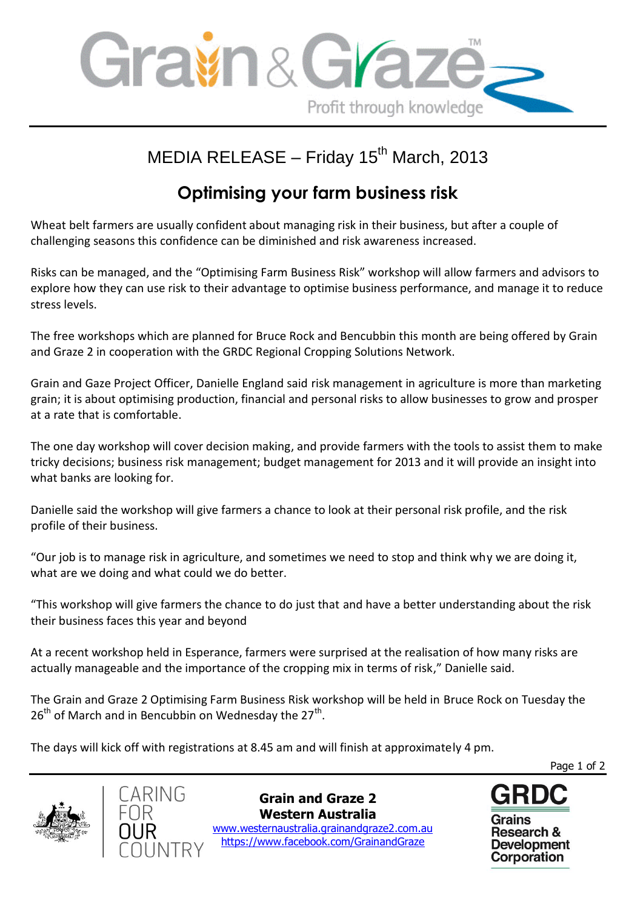

## MEDIA RELEASE – Friday  $15<sup>th</sup>$  March, 2013

## **Optimising your farm business risk**

Wheat belt farmers are usually confident about managing risk in their business, but after a couple of challenging seasons this confidence can be diminished and risk awareness increased.

Risks can be managed, and the "Optimising Farm Business Risk" workshop will allow farmers and advisors to explore how they can use risk to their advantage to optimise business performance, and manage it to reduce stress levels.

The free workshops which are planned for Bruce Rock and Bencubbin this month are being offered by Grain and Graze 2 in cooperation with the GRDC Regional Cropping Solutions Network.

Grain and Gaze Project Officer, Danielle England said risk management in agriculture is more than marketing grain; it is about optimising production, financial and personal risks to allow businesses to grow and prosper at a rate that is comfortable.

The one day workshop will cover decision making, and provide farmers with the tools to assist them to make tricky decisions; business risk management; budget management for 2013 and it will provide an insight into what banks are looking for.

Danielle said the workshop will give farmers a chance to look at their personal risk profile, and the risk profile of their business.

"Our job is to manage risk in agriculture, and sometimes we need to stop and think why we are doing it, what are we doing and what could we do better.

"This workshop will give farmers the chance to do just that and have a better understanding about the risk their business faces this year and beyond

At a recent workshop held in Esperance, farmers were surprised at the realisation of how many risks are actually manageable and the importance of the cropping mix in terms of risk," Danielle said.

The Grain and Graze 2 Optimising Farm Business Risk workshop will be held in Bruce Rock on Tuesday the  $26<sup>th</sup>$  of March and in Bencubbin on Wednesday the 27<sup>th</sup>.

The days will kick off with registrations at 8.45 am and will finish at approximately 4 pm.

Page 1 of 2





**Grain and Graze 2 Western Australia** www.westernaustralia.grainandgraze2.com.au https://www.facebook.com/GrainandGraze